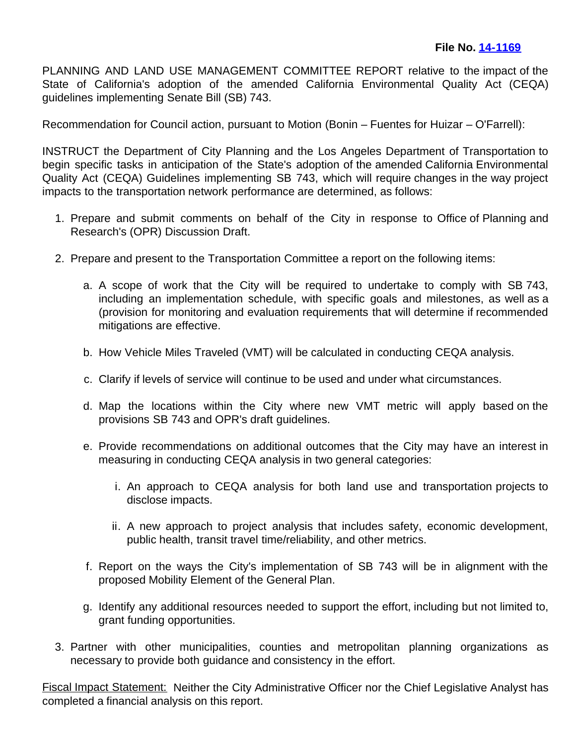PLANNING AND LAND USE MANAGEMENT COMMITTEE REPORT relative to the impact of the State of California's adoption of the amended California Environmental Quality Act (CEQA) guidelines implementing Senate Bill (SB) 743.

Recommendation for Council action, pursuant to Motion (Bonin – Fuentes for Huizar – O'Farrell):

INSTRUCT the Department of City Planning and the Los Angeles Department of Transportation to begin specific tasks in anticipation of the State's adoption of the amended California Environmental Quality Act (CEQA) Guidelines implementing SB 743, which will require changes in the way project impacts to the transportation network performance are determined, as follows:

- 1. Prepare and submit comments on behalf of the City in response to Office of Planning and Research's (OPR) Discussion Draft.
- 2. Prepare and present to the Transportation Committee a report on the following items:
	- a. A scope of work that the City will be required to undertake to comply with SB 743, including an implementation schedule, with specific goals and milestones, as well as a (provision for monitoring and evaluation requirements that will determine if recommended mitigations are effective.
	- b. How Vehicle Miles Traveled (VMT) will be calculated in conducting CEQA analysis.
	- c. Clarify if levels of service will continue to be used and under what circumstances.
	- d. Map the locations within the City where new VMT metric will apply based on the provisions SB 743 and OPR's draft guidelines.
	- e. Provide recommendations on additional outcomes that the City may have an interest in measuring in conducting CEQA analysis in two general categories:
		- i. An approach to CEQA analysis for both land use and transportation projects to disclose impacts.
		- ii. A new approach to project analysis that includes safety, economic development, public health, transit travel time/reliability, and other metrics.
	- f. Report on the ways the City's implementation of SB 743 will be in alignment with the proposed Mobility Element of the General Plan.
	- g. Identify any additional resources needed to support the effort, including but not limited to, grant funding opportunities.
- 3. Partner with other municipalities, counties and metropolitan planning organizations as necessary to provide both guidance and consistency in the effort.

**Fiscal Impact Statement:** Neither the City Administrative Officer nor the Chief Legislative Analyst has completed a financial analysis on this report.